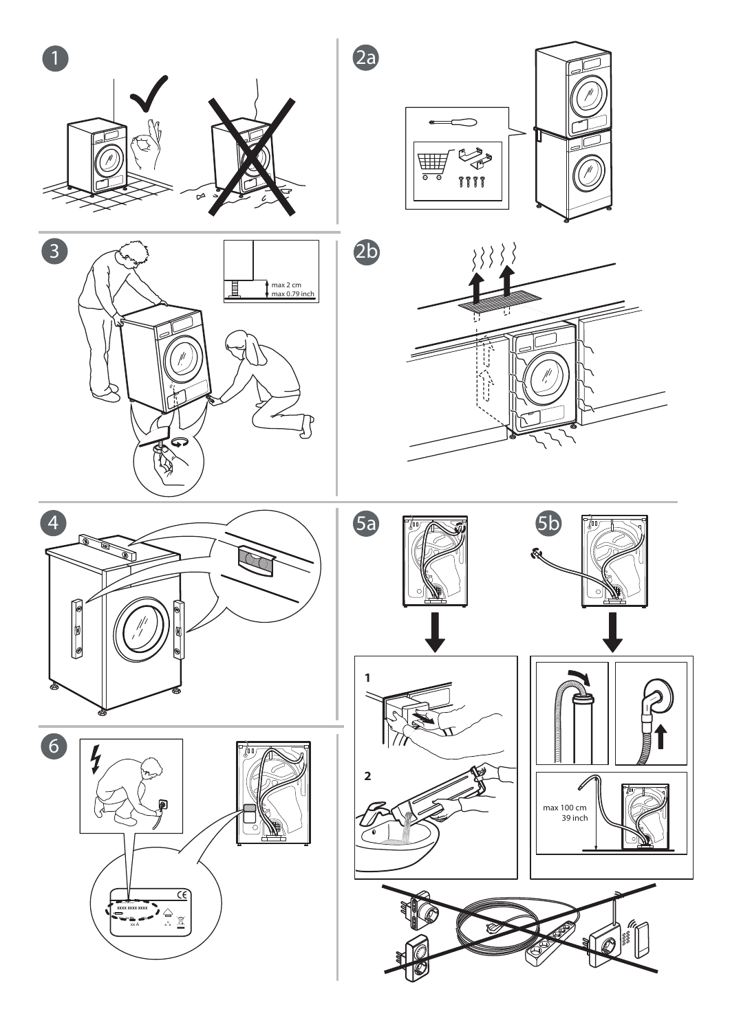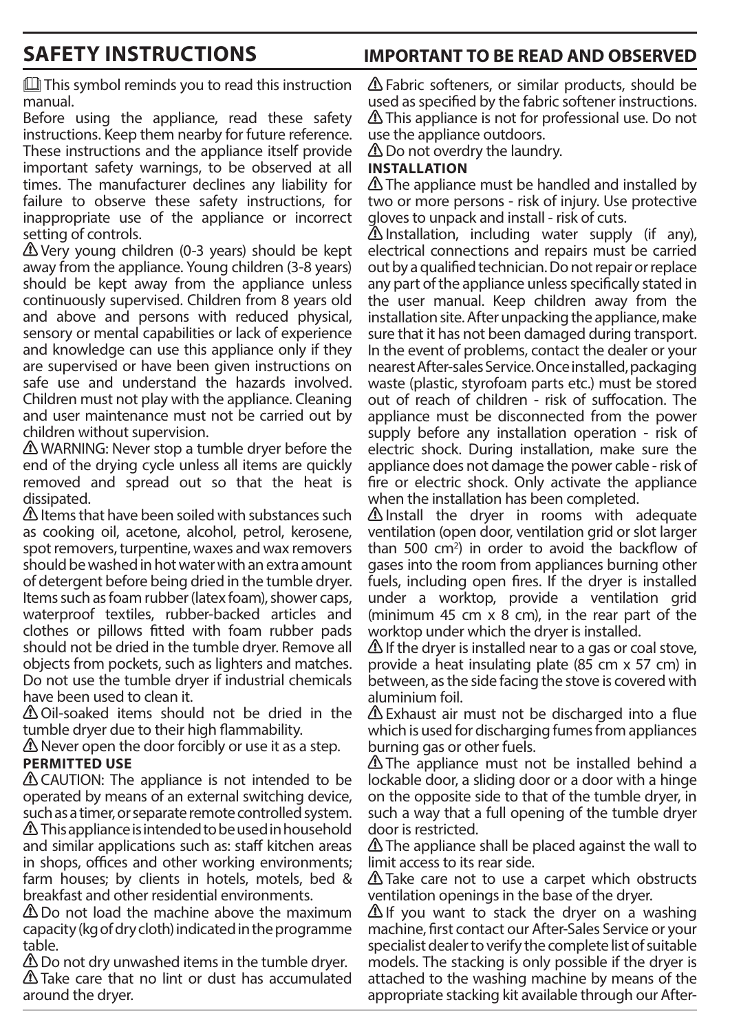# **SAFETY INSTRUCTIONS IMPORTANT TO BE READ AND OBSERVED**

 $\mathbb{L}$  This symbol reminds you to read this instruction manual.

Before using the appliance, read these safety instructions. Keep them nearby for future reference. These instructions and the appliance itself provide important safety warnings, to be observed at all times. The manufacturer declines any liability for failure to observe these safety instructions, for inappropriate use of the appliance or incorrect setting of controls.

 Very young children (0-3 years) should be kept away from the appliance. Young children (3-8 years) should be kept away from the appliance unless continuously supervised. Children from 8 years old and above and persons with reduced physical, sensory or mental capabilities or lack of experience and knowledge can use this appliance only if they are supervised or have been given instructions on safe use and understand the hazards involved. Children must not play with the appliance. Cleaning and user maintenance must not be carried out by children without supervision.

 WARNING: Never stop a tumble dryer before the end of the drying cycle unless all items are quickly removed and spread out so that the heat is dissipated.

 $\triangle$  Items that have been soiled with substances such as cooking oil, acetone, alcohol, petrol, kerosene, spot removers, turpentine, waxes and wax removers should be washed in hot water with an extra amount of detergent before being dried in the tumble dryer. Items such as foam rubber (latex foam), shower caps, waterproof textiles, rubber-backed articles and clothes or pillows fitted with foam rubber pads should not be dried in the tumble dryer. Remove all objects from pockets, such as lighters and matches. Do not use the tumble dryer if industrial chemicals have been used to clean it.

 Oil-soaked items should not be dried in the tumble dryer due to their high flammability.

 $\triangle$  Never open the door forcibly or use it as a step. **PERMITTED USE**

A CAUTION: The appliance is not intended to be operated by means of an external switching device, such as a timer, or separate remote controlled system.  $\triangle$  This appliance is intended to be used in household and similar applications such as: staff kitchen areas in shops, offices and other working environments; farm houses; by clients in hotels, motels, bed & breakfast and other residential environments.

 $\triangle$  Do not load the machine above the maximum capacity (kg of dry cloth) indicated in the programme table.

 Do not dry unwashed items in the tumble dryer. Take care that no lint or dust has accumulated around the dryer.

 Fabric softeners, or similar products, should be used as specified by the fabric softener instructions. This appliance is not for professional use. Do not use the appliance outdoors.

**△** Do not overdry the laundry.

## **INSTALLATION**

 $\triangle$  The appliance must be handled and installed by two or more persons - risk of injury. Use protective gloves to unpack and install - risk of cuts.

 $\Delta$  Installation, including water supply (if any), electrical connections and repairs must be carried out by a qualified technician. Do not repair or replace any part of the appliance unless specifically stated in the user manual. Keep children away from the installation site. After unpacking the appliance, make sure that it has not been damaged during transport. In the event of problems, contact the dealer or your nearest After-sales Service. Once installed, packaging waste (plastic, styrofoam parts etc.) must be stored out of reach of children - risk of suffocation. The appliance must be disconnected from the power supply before any installation operation - risk of electric shock. During installation, make sure the appliance does not damage the power cable - risk of fire or electric shock. Only activate the appliance when the installation has been completed.

 $\triangle$  Install the dryer in rooms with adequate ventilation (open door, ventilation grid or slot larger than 500  $\text{cm}^2$ ) in order to avoid the backflow of gases into the room from appliances burning other fuels, including open fires. If the dryer is installed under a worktop, provide a ventilation grid (minimum 45 cm  $\times$  8 cm), in the rear part of the worktop under which the dryer is installed.

 $\triangle$  If the dryer is installed near to a gas or coal stove, provide a heat insulating plate (85 cm x 57 cm) in between, as the side facing the stove is covered with aluminium foil.

 $\triangle$  Exhaust air must not be discharged into a flue which is used for discharging fumes from appliances burning gas or other fuels.

**A** The appliance must not be installed behind a lockable door, a sliding door or a door with a hinge on the opposite side to that of the tumble dryer, in such a way that a full opening of the tumble dryer door is restricted.

 $\triangle$  The appliance shall be placed against the wall to limit access to its rear side.

**A** Take care not to use a carpet which obstructs ventilation openings in the base of the dryer.

 $\Delta$  If you want to stack the dryer on a washing machine, first contact our After-Sales Service or your specialist dealer to verify the complete list of suitable models. The stacking is only possible if the dryer is attached to the washing machine by means of the appropriate stacking kit available through our After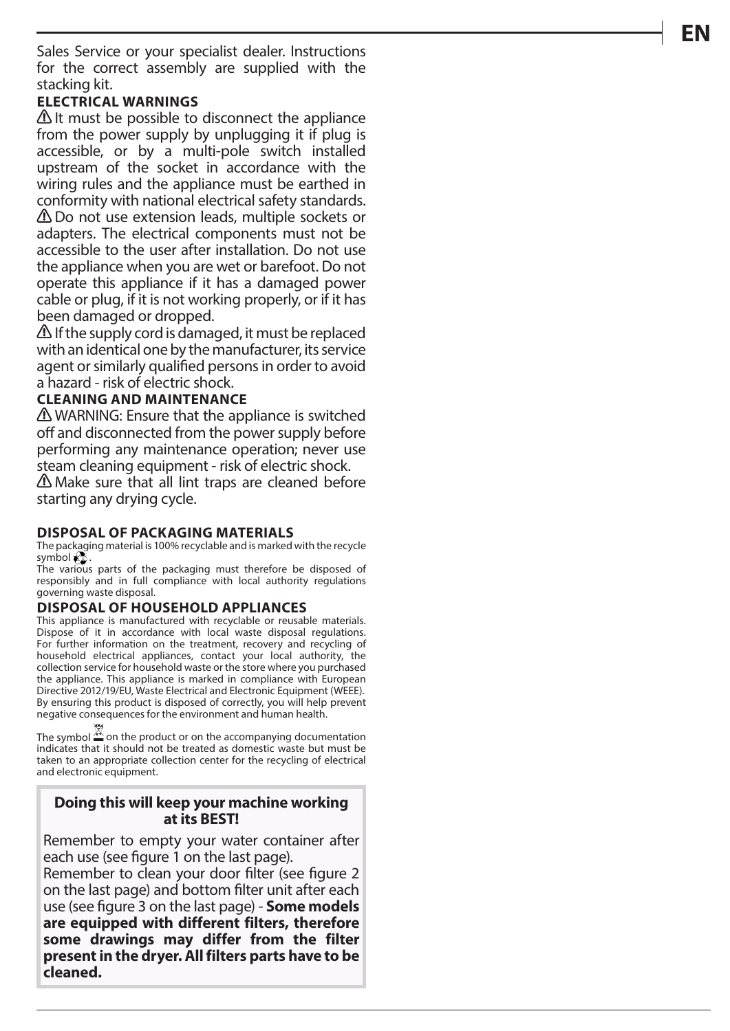Sales Service or your specialist dealer. Instructions for the correct assembly are supplied with the stacking kit.

### **ELECTRICAL WARNINGS**

 $\Delta$  It must be possible to disconnect the appliance from the power supply by unplugging it if plug is accessible, or by a multi-pole switch installed upstream of the socket in accordance with the wiring rules and the appliance must be earthed in conformity with national electrical safety standards. Do not use extension leads, multiple sockets or adapters. The electrical components must not be accessible to the user after installation. Do not use the appliance when you are wet or barefoot. Do not operate this appliance if it has a damaged power cable or plug, if it is not working properly, or if it has been damaged or dropped.

 $\Delta$  If the supply cord is damaged, it must be replaced with an identical one by the manufacturer, its service agent or similarly qualified persons in order to avoid a hazard - risk of electric shock.

#### **CLEANING AND MAINTENANCE**

**A** WARNING: Ensure that the appliance is switched off and disconnected from the power supply before performing any maintenance operation; never use steam cleaning equipment - risk of electric shock. Make sure that all lint traps are cleaned before starting any drying cycle.

#### **DISPOSAL OF PACKAGING MATERIALS**

The packaging material is 100% recyclable and is marked with the recycle symbol  $\overset{\leftrightarrow}{\mathbf{S}}$ .

The various parts of the packaging must therefore be disposed of responsibly and in full compliance with local authority regulations governing waste disposal.

#### **DISPOSAL OF HOUSEHOLD APPLIANCES**

This appliance is manufactured with recyclable or reusable materials. Dispose of it in accordance with local waste disposal regulations. For further information on the treatment, recovery and recycling of household electrical appliances, contact your local authority, the collection service for household waste or the store where you purchased the appliance. This appliance is marked in compliance with European Directive 2012/19/EU, Waste Electrical and Electronic Equipment (WEEE). By ensuring this product is disposed of correctly, you will help prevent negative consequences for the environment and human health.

The symbol  $\frac{M}{2}$  on the product or on the accompanying documentation indicates that it should not be treated as domestic waste but must be taken to an appropriate collection center for the recycling of electrical and electronic equipment.

#### **Doing this will keep your machine working at its BEST!**

Remember to empty your water container after each use (see figure 1 on the last page).

Remember to clean your door filter (see figure 2 on the last page) and bottom filter unit after each use (see figure 3 on the last page) - **Some models are equipped with different filters, therefore some drawings may differ from the filter present in the dryer. All filters parts have to be cleaned.**